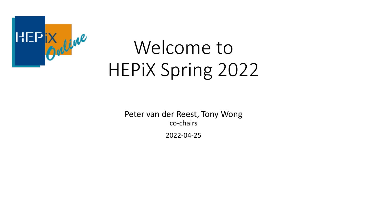

# Welcome to HEPiX Spring 2022

Peter van der Reest, Tony Wong co-chairs 2022-04-25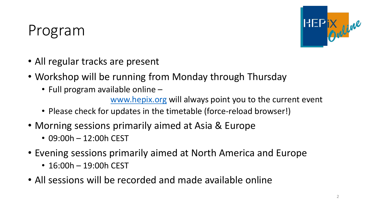## Program



- All regular tracks are present
- Workshop will be running from Monday through Thursday
	- Full program available online -

[www.hepix.org](http://www.hepix.org/) will always point you to the current event

- Please check for updates in the timetable (force-reload browser!)
- Morning sessions primarily aimed at Asia & Europe
	- 09:00h 12:00h CEST
- Evening sessions primarily aimed at North America and Europe
	- 16:00h 19:00h CEST
- All sessions will be recorded and made available online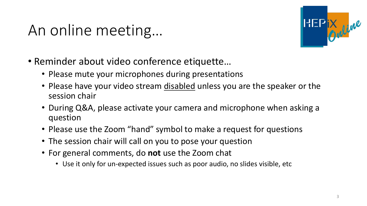# An online meeting…



- Reminder about video conference etiquette…
	- Please mute your microphones during presentations
	- Please have your video stream disabled unless you are the speaker or the session chair
	- During Q&A, please activate your camera and microphone when asking a question
	- Please use the Zoom "hand" symbol to make a request for questions
	- The session chair will call on you to pose your question
	- For general comments, do **not** use the Zoom chat
		- Use it only for un-expected issues such as poor audio, no slides visible, etc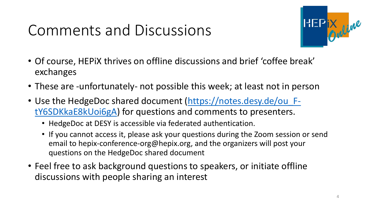# Comments and Discussions



- Of course, HEPiX thrives on offline discussions and brief 'coffee break' exchanges
- These are -unfortunately- not possible this week; at least not in person
- Use the HedgeDoc shared document (https://notes.desy.de/ou FtY6SDKkaE8kUoi6gA) [for questions and comments to presenters.](https://notes.desy.de/ou_F-tY6SDKkaE8kUoi6gA) 
	- HedgeDoc at DESY is accessible via federated authentication.
	- If you cannot access it, please ask your questions during the Zoom session or send email to hepix-conference-org@hepix.org, and the organizers will post your questions on the HedgeDoc shared document
- Feel free to ask background questions to speakers, or initiate offline discussions with people sharing an interest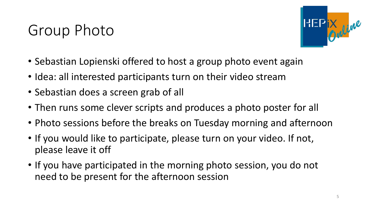## Group Photo



- Sebastian Lopienski offered to host a group photo event again
- Idea: all interested participants turn on their video stream
- Sebastian does a screen grab of all
- Then runs some clever scripts and produces a photo poster for all
- Photo sessions before the breaks on Tuesday morning and afternoon
- If you would like to participate, please turn on your video. If not, please leave it off
- If you have participated in the morning photo session, you do not need to be present for the afternoon session